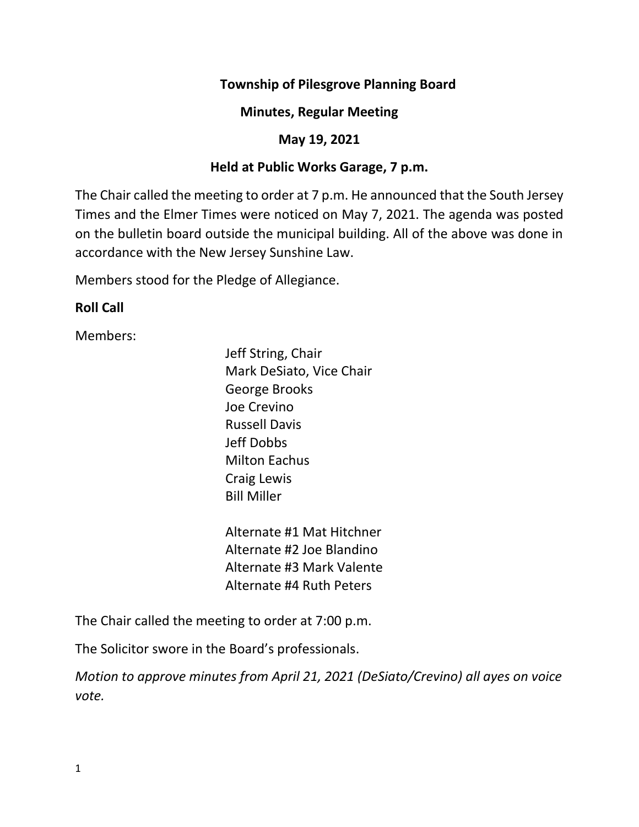## **Township of Pilesgrove Planning Board**

#### **Minutes, Regular Meeting**

## **May 19, 2021**

## **Held at Public Works Garage, 7 p.m.**

The Chair called the meeting to order at 7 p.m. He announced that the South Jersey Times and the Elmer Times were noticed on May 7, 2021. The agenda was posted on the bulletin board outside the municipal building. All of the above was done in accordance with the New Jersey Sunshine Law.

Members stood for the Pledge of Allegiance.

## **Roll Call**

Members:

Jeff String, Chair Mark DeSiato, Vice Chair George Brooks Joe Crevino Russell Davis Jeff Dobbs Milton Eachus Craig Lewis Bill Miller

Alternate #1 Mat Hitchner Alternate #2 Joe Blandino Alternate #3 Mark Valente Alternate #4 Ruth Peters

The Chair called the meeting to order at 7:00 p.m.

The Solicitor swore in the Board's professionals.

*Motion to approve minutes from April 21, 2021 (DeSiato/Crevino) all ayes on voice vote.*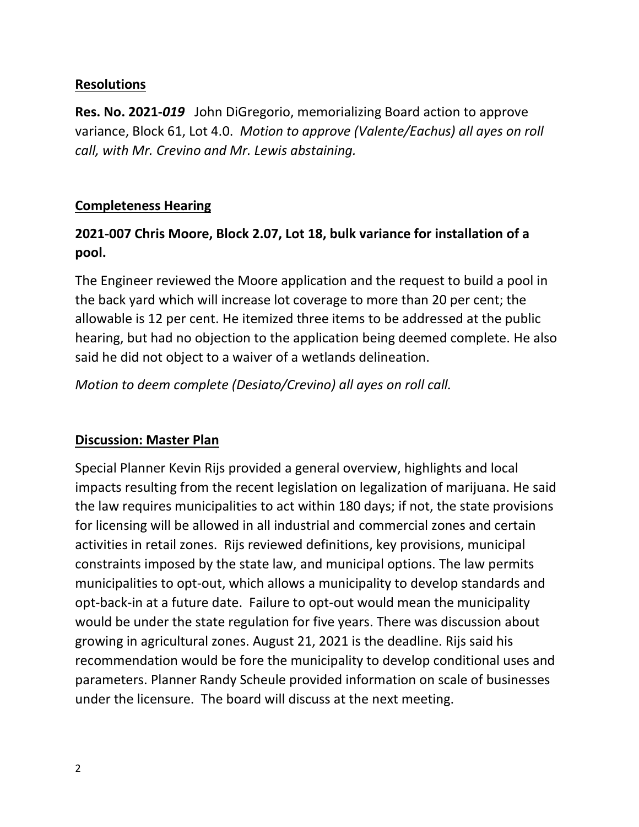#### **Resolutions**

**Res. No. 2021-***019* John DiGregorio, memorializing Board action to approve variance, Block 61, Lot 4.0. *Motion to approve (Valente/Eachus) all ayes on roll call, with Mr. Crevino and Mr. Lewis abstaining.*

#### **Completeness Hearing**

# **2021-007 Chris Moore, Block 2.07, Lot 18, bulk variance for installation of a pool.**

The Engineer reviewed the Moore application and the request to build a pool in the back yard which will increase lot coverage to more than 20 per cent; the allowable is 12 per cent. He itemized three items to be addressed at the public hearing, but had no objection to the application being deemed complete. He also said he did not object to a waiver of a wetlands delineation.

*Motion to deem complete (Desiato/Crevino) all ayes on roll call.*

#### **Discussion: Master Plan**

Special Planner Kevin Rijs provided a general overview, highlights and local impacts resulting from the recent legislation on legalization of marijuana. He said the law requires municipalities to act within 180 days; if not, the state provisions for licensing will be allowed in all industrial and commercial zones and certain activities in retail zones. Rijs reviewed definitions, key provisions, municipal constraints imposed by the state law, and municipal options. The law permits municipalities to opt-out, which allows a municipality to develop standards and opt-back-in at a future date. Failure to opt-out would mean the municipality would be under the state regulation for five years. There was discussion about growing in agricultural zones. August 21, 2021 is the deadline. Rijs said his recommendation would be fore the municipality to develop conditional uses and parameters. Planner Randy Scheule provided information on scale of businesses under the licensure. The board will discuss at the next meeting.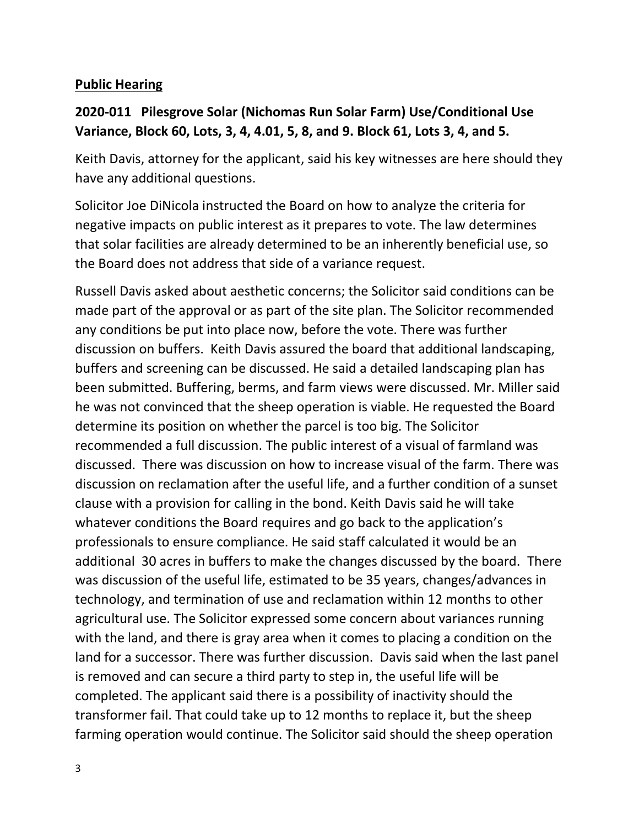## **Public Hearing**

## **2020-011 Pilesgrove Solar (Nichomas Run Solar Farm) Use/Conditional Use Variance, Block 60, Lots, 3, 4, 4.01, 5, 8, and 9. Block 61, Lots 3, 4, and 5.**

Keith Davis, attorney for the applicant, said his key witnesses are here should they have any additional questions.

Solicitor Joe DiNicola instructed the Board on how to analyze the criteria for negative impacts on public interest as it prepares to vote. The law determines that solar facilities are already determined to be an inherently beneficial use, so the Board does not address that side of a variance request.

Russell Davis asked about aesthetic concerns; the Solicitor said conditions can be made part of the approval or as part of the site plan. The Solicitor recommended any conditions be put into place now, before the vote. There was further discussion on buffers. Keith Davis assured the board that additional landscaping, buffers and screening can be discussed. He said a detailed landscaping plan has been submitted. Buffering, berms, and farm views were discussed. Mr. Miller said he was not convinced that the sheep operation is viable. He requested the Board determine its position on whether the parcel is too big. The Solicitor recommended a full discussion. The public interest of a visual of farmland was discussed. There was discussion on how to increase visual of the farm. There was discussion on reclamation after the useful life, and a further condition of a sunset clause with a provision for calling in the bond. Keith Davis said he will take whatever conditions the Board requires and go back to the application's professionals to ensure compliance. He said staff calculated it would be an additional 30 acres in buffers to make the changes discussed by the board. There was discussion of the useful life, estimated to be 35 years, changes/advances in technology, and termination of use and reclamation within 12 months to other agricultural use. The Solicitor expressed some concern about variances running with the land, and there is gray area when it comes to placing a condition on the land for a successor. There was further discussion. Davis said when the last panel is removed and can secure a third party to step in, the useful life will be completed. The applicant said there is a possibility of inactivity should the transformer fail. That could take up to 12 months to replace it, but the sheep farming operation would continue. The Solicitor said should the sheep operation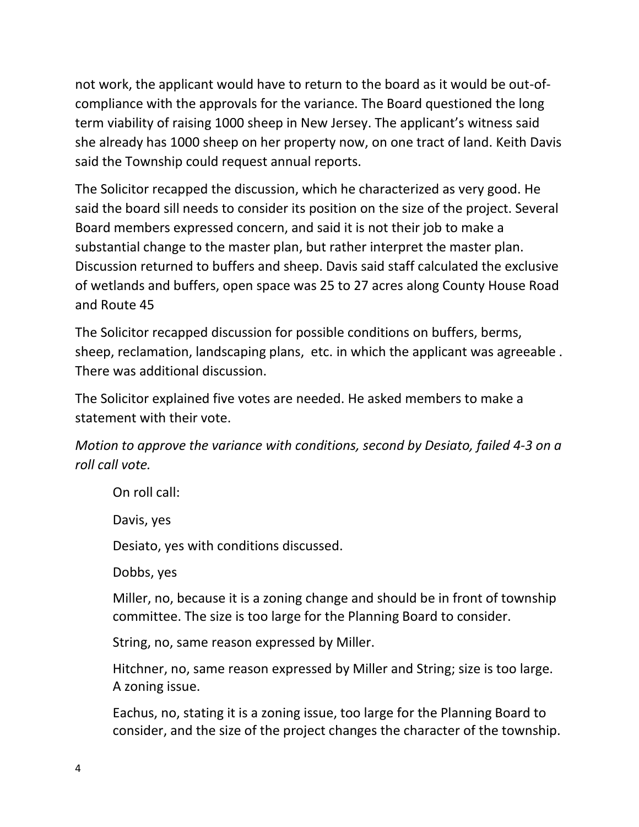not work, the applicant would have to return to the board as it would be out-ofcompliance with the approvals for the variance. The Board questioned the long term viability of raising 1000 sheep in New Jersey. The applicant's witness said she already has 1000 sheep on her property now, on one tract of land. Keith Davis said the Township could request annual reports.

The Solicitor recapped the discussion, which he characterized as very good. He said the board sill needs to consider its position on the size of the project. Several Board members expressed concern, and said it is not their job to make a substantial change to the master plan, but rather interpret the master plan. Discussion returned to buffers and sheep. Davis said staff calculated the exclusive of wetlands and buffers, open space was 25 to 27 acres along County House Road and Route 45

The Solicitor recapped discussion for possible conditions on buffers, berms, sheep, reclamation, landscaping plans, etc. in which the applicant was agreeable . There was additional discussion.

The Solicitor explained five votes are needed. He asked members to make a statement with their vote.

*Motion to approve the variance with conditions, second by Desiato, failed 4-3 on a roll call vote.*

On roll call:

Davis, yes

Desiato, yes with conditions discussed.

Dobbs, yes

Miller, no, because it is a zoning change and should be in front of township committee. The size is too large for the Planning Board to consider.

String, no, same reason expressed by Miller.

Hitchner, no, same reason expressed by Miller and String; size is too large. A zoning issue.

Eachus, no, stating it is a zoning issue, too large for the Planning Board to consider, and the size of the project changes the character of the township.